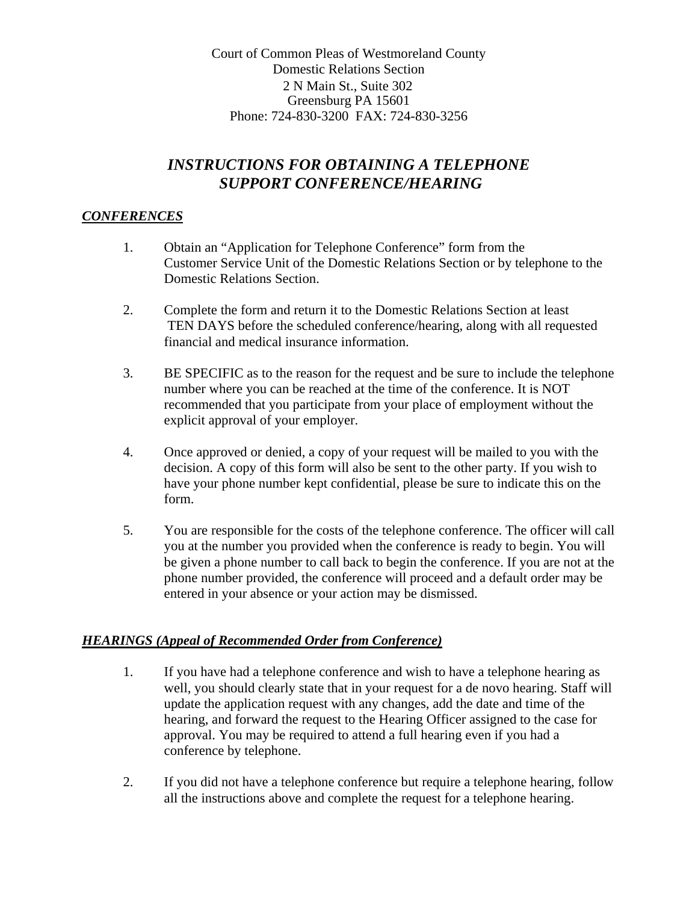Court of Common Pleas of Westmoreland County Domestic Relations Section 2 N Main St., Suite 302 Greensburg PA 15601 Phone: 724-830-3200 FAX: 724-830-3256

# *INSTRUCTIONS FOR OBTAINING A TELEPHONE SUPPORT CONFERENCE/HEARING*

### *CONFERENCES*

- 1. Obtain an "Application for Telephone Conference" form from the Customer Service Unit of the Domestic Relations Section or by telephone to the Domestic Relations Section.
- 2. Complete the form and return it to the Domestic Relations Section at least TEN DAYS before the scheduled conference/hearing, along with all requested financial and medical insurance information.
- 3. BE SPECIFIC as to the reason for the request and be sure to include the telephone number where you can be reached at the time of the conference. It is NOT recommended that you participate from your place of employment without the explicit approval of your employer.
- 4. Once approved or denied, a copy of your request will be mailed to you with the decision. A copy of this form will also be sent to the other party. If you wish to have your phone number kept confidential, please be sure to indicate this on the form.
- 5. You are responsible for the costs of the telephone conference. The officer will call you at the number you provided when the conference is ready to begin. You will be given a phone number to call back to begin the conference. If you are not at the phone number provided, the conference will proceed and a default order may be entered in your absence or your action may be dismissed.

#### *HEARINGS (Appeal of Recommended Order from Conference)*

- 1. If you have had a telephone conference and wish to have a telephone hearing as well, you should clearly state that in your request for a de novo hearing. Staff will update the application request with any changes, add the date and time of the hearing, and forward the request to the Hearing Officer assigned to the case for approval. You may be required to attend a full hearing even if you had a conference by telephone.
- 2. If you did not have a telephone conference but require a telephone hearing, follow all the instructions above and complete the request for a telephone hearing.